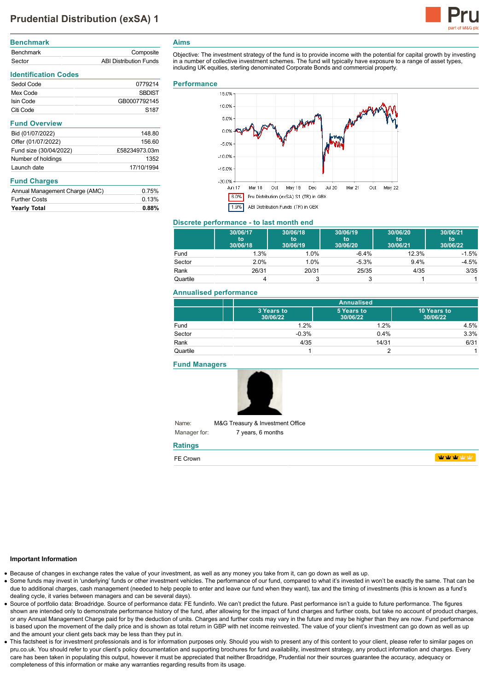# **Prudential Distribution (exSA) 1**



| Composite                     |
|-------------------------------|
| <b>ABI Distribution Funds</b> |
|                               |

## **Identification Codes** Sedol Code 0779214 Mex Code SBDIST **Isin Code GB0007792145** Citi Code S187 **Fund Overview** Bid (01/07/2022) 148.80 Offer (01/07/2022) 156.60 Fund size (30/04/2022) £58234973.03m Number of holdings 1352 Launch date 17/10/1994 **Fund Charges**

| Annual Management Charge (AMC) | 0.75%    |
|--------------------------------|----------|
| <b>Further Costs</b>           | 0.13%    |
| <b>Yearly Total</b>            | $0.88\%$ |

## **Aims**

Objective: The investment strategy of the fund is to provide income with the potential for capital growth by investing in a number of collective investment schemes. The fund will typically have exposure to a range of asset types, including UK equities, sterling denominated Corporate Bonds and commercial property.

#### **Performance**



#### **Discrete performance - to last month end**

|          | 30/06/17<br>to<br>30/06/18 | 30/06/18<br>to<br>30/06/19 | 30/06/19<br>to<br>30/06/20 | 30/06/20<br>to<br>30/06/21 | 30/06/21<br>to<br>30/06/22 |
|----------|----------------------------|----------------------------|----------------------------|----------------------------|----------------------------|
| Fund     | 1.3%                       | 1.0%                       | $-6.4%$                    | 12.3%                      | $-1.5%$                    |
| Sector   | 2.0%                       | 1.0%                       | $-5.3%$                    | $9.4\%$                    | $-4.5%$                    |
| Rank     | 26/31                      | 20/31                      | 25/35                      | 4/35                       | 3/35                       |
| Quartile |                            |                            |                            |                            |                            |

## **Annualised performance**

|          | <b>Annualised</b>      |                        |                         |
|----------|------------------------|------------------------|-------------------------|
|          | 3 Years to<br>30/06/22 | 5 Years to<br>30/06/22 | 10 Years to<br>30/06/22 |
| Fund     | 1.2%                   | 1.2%                   | 4.5%                    |
| Sector   | $-0.3%$                | 0.4%                   | 3.3%                    |
| Rank     | 4/35                   | 14/31                  | 6/31                    |
| Quartile |                        |                        |                         |

**Fund Managers**



Name: Manager for: M&G Treasury & Investment Office 7 years, 6 months

## **Ratings**

| FE Crown |  |
|----------|--|
|----------|--|

**utrativity** 

#### **Important Information**

- Because of changes in exchange rates the value of your investment, as well as any money you take from it, can go down as well as up.
- Some funds may invest in 'underlying' funds or other investment vehicles. The performance of our fund, compared to what it's invested in won't be exactly the same. That can be due to additional charges, cash management (needed to help people to enter and leave our fund when they want), tax and the timing of investments (this is known as a fund's dealing cycle, it varies between managers and can be several days).
- Source of portfolio data: Broadridge. Source of performance data: FE fundinfo. We can't predict the future. Past performance isn't a guide to future performance. The figures shown are intended only to demonstrate performance history of the fund, after allowing for the impact of fund charges and further costs, but take no account of product charges, or any Annual Management Charge paid for by the deduction of units. Charges and further costs may vary in the future and may be higher than they are now. Fund performance is based upon the movement of the daily price and is shown as total return in GBP with net income reinvested. The value of your client's investment can go down as well as up and the amount your client gets back may be less than they put in.
- This factsheet is for investment professionals and is for information purposes only. Should you wish to present any of this content to your client, please refer to similar pages on pru.co.uk. You should refer to your client's policy documentation and supporting brochures for fund availability, investment strategy, any product information and charges. Every care has been taken in populating this output, however it must be appreciated that neither Broadridge, Prudential nor their sources guarantee the accuracy, adequacy or completeness of this information or make any warranties regarding results from its usage.